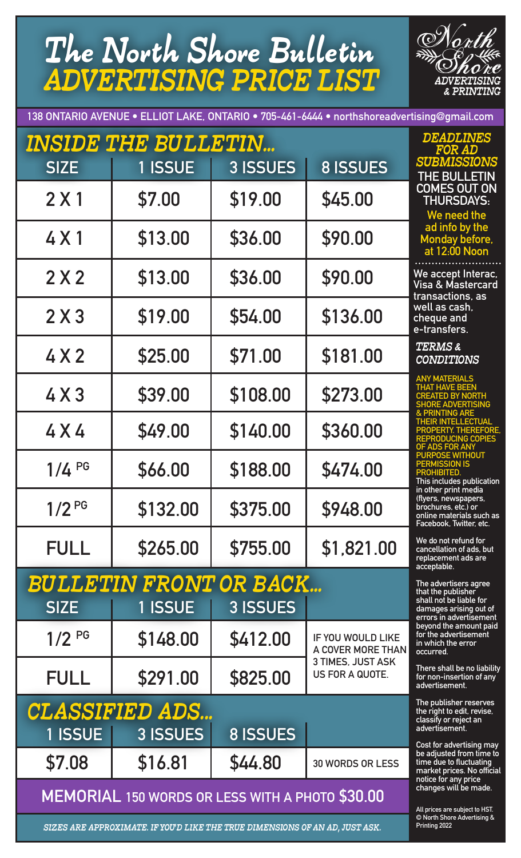# The North Shore Bulletin ADVERTISING PRICE LIST



**138 ONTARIO AVENUE • ELLIOT LAKE, ONTARIO • 705-461-6444 • northshoreadvertising@gmail.com**

|                   | <b>INSIDE THE BULLETIN</b>                                                 |                 |                                             | <i><b>DEADLINES</b></i><br>FOR AD                                                                                             |
|-------------------|----------------------------------------------------------------------------|-----------------|---------------------------------------------|-------------------------------------------------------------------------------------------------------------------------------|
| <b>SIZE</b>       | 1 ISSUE                                                                    | 3 ISSUES        | <b>8 ISSUES</b>                             | <b>SUBMISSIONS</b><br>THE BULLETIN                                                                                            |
| 2 X 1             | \$7.00                                                                     | \$19.00         | \$45.00                                     | <b>COMES OUT ON</b><br><b>THURSDAYS:</b><br>We need the                                                                       |
| 4 X 1             | \$13.00                                                                    | \$36.00         | \$90.00                                     | ad info by the<br>Monday before,<br>at 12:00 Noon                                                                             |
| 2X2               | \$13.00                                                                    | \$36.00         | \$90.00                                     | .<br>We accept Interac,<br>Visa & Mastercard<br>transactions, as                                                              |
| 2X3               | \$19.00                                                                    | \$54.00         | \$136.00                                    | well as cash,<br>cheque and<br>e-transfers.                                                                                   |
| 4X2               | \$25.00                                                                    | \$71.00         | \$181.00                                    | TERMS &<br><b>CONDITIONS</b>                                                                                                  |
| 4X3               | \$39.00                                                                    | \$108.00        | \$273.00                                    | <b>ANY MATERIALS</b><br><b>THAT HAVE BEEN</b><br><b>CREATED BY NORTH</b><br><b>SHORE ADVERTISING</b>                          |
| 4 X 4             | \$49.00                                                                    | \$140.00        | \$360.00                                    | <b>&amp; PRINTING ARE</b><br><b>THEIR INTELLECTUAL</b><br>PROPERTY. THEREFORE,<br><b>REPRODUCING COPIES</b><br>OF ADS FOR ANY |
| $1/4$ PG          | \$66.00                                                                    | \$188.00        | \$474.00                                    | <b>PURPOSE WITHOUT</b><br><b>PERMISSION IS</b><br><b>PROHIBITED.</b><br>This includes publication                             |
| 1/2 <sup>PG</sup> | \$132.00                                                                   | \$375.00        | \$948.00                                    | in other print media<br>(flyers, newspapers,<br>brochures, etc.) or<br>online materials such as<br>Facebook, Twitter, etc.    |
| <b>FULL</b>       | \$265.00                                                                   | \$755.00        | \$1,821.00                                  | We do not refund for<br>cancellation of ads, but<br>replacement ads are<br>acceptable.                                        |
|                   | <b>BULLETIN FRONT OR BACK</b>                                              |                 |                                             | The advertisers agree<br>that the publisher                                                                                   |
| <b>SIZE</b>       | 1 ISSUE                                                                    | 3 ISSUES        |                                             | shall not be liable for<br>damages arising out of<br>errors in advertisement                                                  |
| $1/2^{PG}$        | \$148.00                                                                   | \$412.00        | IF YOU WOULD LIKE<br>A COVER MORE THAN      | beyond the amount paid<br>for the advertisement<br>in which the error<br>occurred.                                            |
| <b>FULL</b>       | \$291.00                                                                   | \$825.00        | 3 TIMES, JUST ASK<br><b>US FOR A QUOTE.</b> | There shall be no liability<br>for non-insertion of any<br>advertisement.                                                     |
|                   | <b>CLASSIFIED ADS</b>                                                      |                 |                                             | The publisher reserves<br>the right to edit, revise,<br>classify or reject an                                                 |
| 1 ISSUE           | 3 ISSUES                                                                   | <b>8 ISSUES</b> |                                             | advertisement.<br>Cost for advertising may                                                                                    |
| \$7.08            | \$16.81                                                                    | \$44.80         | <b>30 WORDS OR LESS</b>                     | be adjusted from time to<br>time due to fluctuating<br>market prices. No official<br>notice for any price                     |
|                   | MEMORIAL 150 WORDS OR LESS WITH A PHOTO \$30.00                            |                 |                                             | changes will be made.<br>All prices are subject to HST.                                                                       |
|                   | SIZES ARE APPROXIMATE. IF YOU'D LIKE THE TRUE DIMENSIONS OF AN AD-JUST ASK |                 |                                             | © North Shore Advertising &<br>Printing 2022                                                                                  |

SIZES ARE APPROXIMATE. IF YOU'D LIKE THE TRUE DIMENSIONS OF AN AD, JUST ASK.